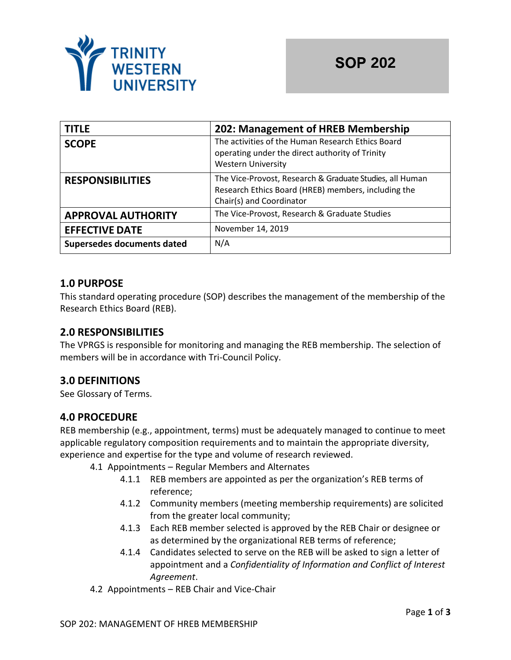

| <b>TITLE</b>               | 202: Management of HREB Membership                                                                                                          |  |
|----------------------------|---------------------------------------------------------------------------------------------------------------------------------------------|--|
| <b>SCOPE</b>               | The activities of the Human Research Ethics Board<br>operating under the direct authority of Trinity<br><b>Western University</b>           |  |
| <b>RESPONSIBILITIES</b>    | The Vice-Provost, Research & Graduate Studies, all Human<br>Research Ethics Board (HREB) members, including the<br>Chair(s) and Coordinator |  |
| <b>APPROVAL AUTHORITY</b>  | The Vice-Provost, Research & Graduate Studies                                                                                               |  |
| <b>EFFECTIVE DATE</b>      | November 14, 2019                                                                                                                           |  |
| Supersedes documents dated | N/A                                                                                                                                         |  |

## **1.0 PURPOSE**

This standard operating procedure (SOP) describes the management of the membership of the Research Ethics Board (REB).

## **2.0 RESPONSIBILITIES**

The VPRGS is responsible for monitoring and managing the REB membership. The selection of members will be in accordance with Tri-Council Policy.

# **3.0 DEFINITIONS**

See Glossary of Terms.

## **4.0 PROCEDURE**

REB membership (e.g., appointment, terms) must be adequately managed to continue to meet applicable regulatory composition requirements and to maintain the appropriate diversity, experience and expertise for the type and volume of research reviewed.

4.1 Appointments – Regular Members and Alternates

- 4.1.1 REB members are appointed as per the organization's REB terms of reference;
- 4.1.2 Community members (meeting membership requirements) are solicited from the greater local community;
- 4.1.3 Each REB member selected is approved by the REB Chair or designee or as determined by the organizational REB terms of reference;
- 4.1.4 Candidates selected to serve on the REB will be asked to sign a letter of appointment and a *Confidentiality of Information and Conflict of Interest Agreement*.
- 4.2 Appointments REB Chair and Vice-Chair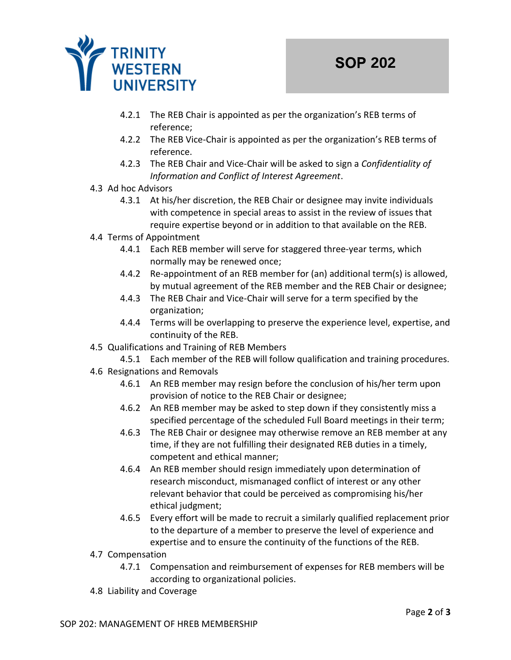

- 4.2.1 The REB Chair is appointed as per the organization's REB terms of reference;
- 4.2.2 The REB Vice-Chair is appointed as per the organization's REB terms of reference.
- 4.2.3 The REB Chair and Vice-Chair will be asked to sign a *Confidentiality of Information and Conflict of Interest Agreement*.
- 4.3 Ad hoc Advisors
	- 4.3.1 At his/her discretion, the REB Chair or designee may invite individuals with competence in special areas to assist in the review of issues that require expertise beyond or in addition to that available on the REB.
- 4.4 Terms of Appointment
	- 4.4.1 Each REB member will serve for staggered three-year terms, which normally may be renewed once;
	- 4.4.2 Re-appointment of an REB member for (an) additional term(s) is allowed, by mutual agreement of the REB member and the REB Chair or designee;
	- 4.4.3 The REB Chair and Vice-Chair will serve for a term specified by the organization;
	- 4.4.4 Terms will be overlapping to preserve the experience level, expertise, and continuity of the REB.
- 4.5 Qualifications and Training of REB Members
	- 4.5.1 Each member of the REB will follow qualification and training procedures.
- 4.6 Resignations and Removals
	- 4.6.1 An REB member may resign before the conclusion of his/her term upon provision of notice to the REB Chair or designee;
	- 4.6.2 An REB member may be asked to step down if they consistently miss a specified percentage of the scheduled Full Board meetings in their term;
	- 4.6.3 The REB Chair or designee may otherwise remove an REB member at any time, if they are not fulfilling their designated REB duties in a timely, competent and ethical manner;
	- 4.6.4 An REB member should resign immediately upon determination of research misconduct, mismanaged conflict of interest or any other relevant behavior that could be perceived as compromising his/her ethical judgment;
	- 4.6.5 Every effort will be made to recruit a similarly qualified replacement prior to the departure of a member to preserve the level of experience and expertise and to ensure the continuity of the functions of the REB.
- 4.7 Compensation
	- 4.7.1 Compensation and reimbursement of expenses for REB members will be according to organizational policies.
- 4.8 Liability and Coverage